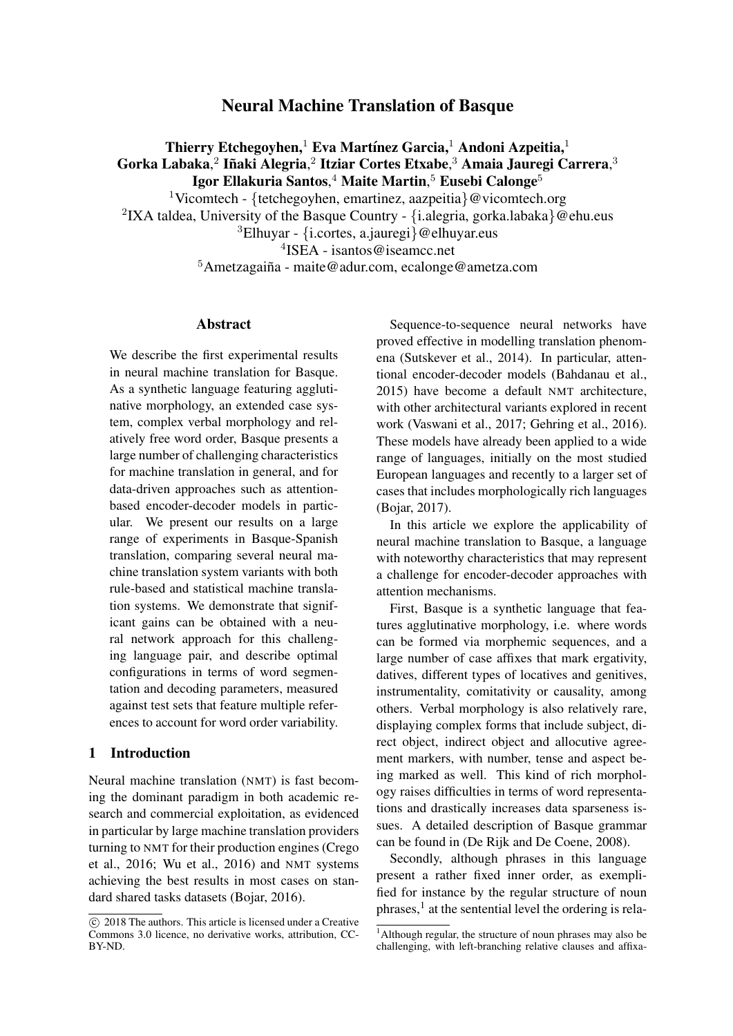# Neural Machine Translation of Basque

Thierry Etchegoyhen,<sup>1</sup> Eva Martínez Garcia,<sup>1</sup> Andoni Azpeitia,<sup>1</sup> Gorka Labaka, $^2$  Iñaki Alegria, $^2$  Itziar Cortes Etxabe, $^3$  Amaia Jauregi Carrera, $^3$ Igor Ellakuria Santos, $^4$  Maite Martin, $^5$  Eusebi Calonge $^5$ 

<sup>1</sup>Vicomtech - {tetchegoyhen, emartinez, aazpeitia}@vicomtech.org <sup>2</sup>IXA taldea, University of the Basque Country - {i.alegria, gorka.labaka} @ehu.eus  ${}^{3}$ Elhuyar - {i.cortes, a.jauregi}@elhuyar.eus

4 ISEA - isantos@iseamcc.net

 $5$ Ametzagaiña - maite@adur.com, ecalonge@ametza.com

### Abstract

We describe the first experimental results in neural machine translation for Basque. As a synthetic language featuring agglutinative morphology, an extended case system, complex verbal morphology and relatively free word order, Basque presents a large number of challenging characteristics for machine translation in general, and for data-driven approaches such as attentionbased encoder-decoder models in particular. We present our results on a large range of experiments in Basque-Spanish translation, comparing several neural machine translation system variants with both rule-based and statistical machine translation systems. We demonstrate that significant gains can be obtained with a neural network approach for this challenging language pair, and describe optimal configurations in terms of word segmentation and decoding parameters, measured against test sets that feature multiple references to account for word order variability.

### 1 Introduction

Neural machine translation (NMT) is fast becoming the dominant paradigm in both academic research and commercial exploitation, as evidenced in particular by large machine translation providers turning to NMT for their production engines (Crego et al., 2016; Wu et al., 2016) and NMT systems achieving the best results in most cases on standard shared tasks datasets (Bojar, 2016).

Sequence-to-sequence neural networks have proved effective in modelling translation phenomena (Sutskever et al., 2014). In particular, attentional encoder-decoder models (Bahdanau et al., 2015) have become a default NMT architecture, with other architectural variants explored in recent work (Vaswani et al., 2017; Gehring et al., 2016). These models have already been applied to a wide range of languages, initially on the most studied European languages and recently to a larger set of cases that includes morphologically rich languages (Bojar, 2017).

In this article we explore the applicability of neural machine translation to Basque, a language with noteworthy characteristics that may represent a challenge for encoder-decoder approaches with attention mechanisms.

First, Basque is a synthetic language that features agglutinative morphology, i.e. where words can be formed via morphemic sequences, and a large number of case affixes that mark ergativity, datives, different types of locatives and genitives, instrumentality, comitativity or causality, among others. Verbal morphology is also relatively rare, displaying complex forms that include subject, direct object, indirect object and allocutive agreement markers, with number, tense and aspect being marked as well. This kind of rich morphology raises difficulties in terms of word representations and drastically increases data sparseness issues. A detailed description of Basque grammar can be found in (De Rijk and De Coene, 2008).

Secondly, although phrases in this language present a rather fixed inner order, as exemplified for instance by the regular structure of noun phrases,<sup>1</sup> at the sentential level the ordering is rela-

 $\circ$  2018 The authors. This article is licensed under a Creative Commons 3.0 licence, no derivative works, attribution, CC-BY-ND.

<sup>&</sup>lt;sup>1</sup>Although regular, the structure of noun phrases may also be challenging, with left-branching relative clauses and affixa-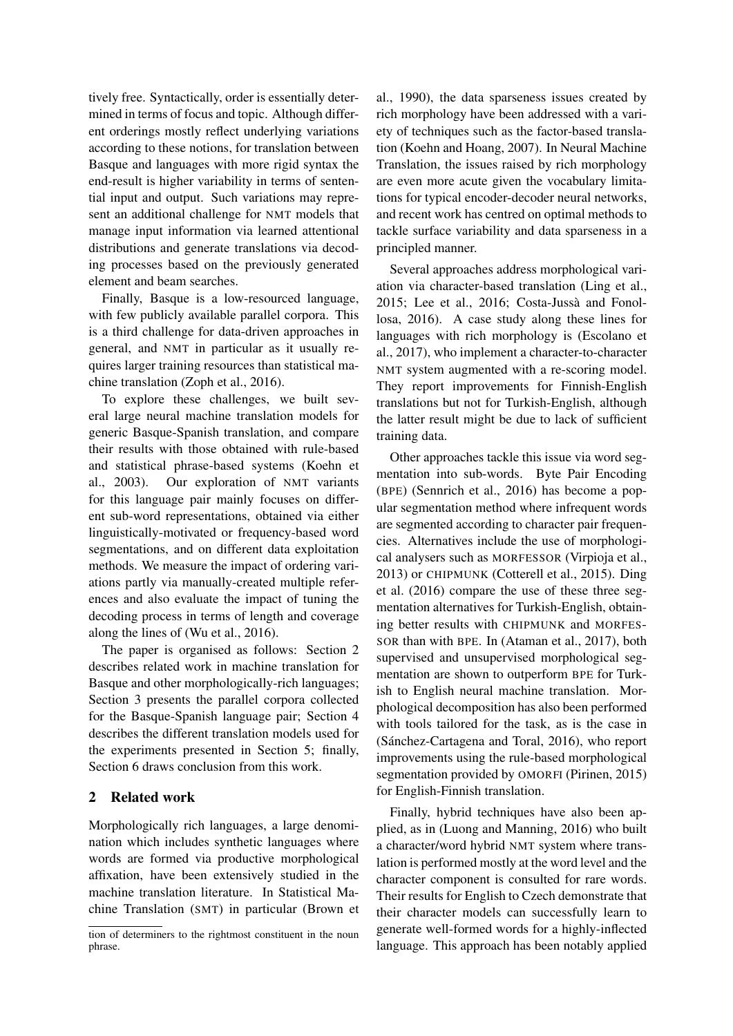tively free. Syntactically, order is essentially determined in terms of focus and topic. Although different orderings mostly reflect underlying variations according to these notions, for translation between Basque and languages with more rigid syntax the end-result is higher variability in terms of sentential input and output. Such variations may represent an additional challenge for NMT models that manage input information via learned attentional distributions and generate translations via decoding processes based on the previously generated element and beam searches.

Finally, Basque is a low-resourced language, with few publicly available parallel corpora. This is a third challenge for data-driven approaches in general, and NMT in particular as it usually requires larger training resources than statistical machine translation (Zoph et al., 2016).

To explore these challenges, we built several large neural machine translation models for generic Basque-Spanish translation, and compare their results with those obtained with rule-based and statistical phrase-based systems (Koehn et al., 2003). Our exploration of NMT variants for this language pair mainly focuses on different sub-word representations, obtained via either linguistically-motivated or frequency-based word segmentations, and on different data exploitation methods. We measure the impact of ordering variations partly via manually-created multiple references and also evaluate the impact of tuning the decoding process in terms of length and coverage along the lines of (Wu et al., 2016).

The paper is organised as follows: Section 2 describes related work in machine translation for Basque and other morphologically-rich languages; Section 3 presents the parallel corpora collected for the Basque-Spanish language pair; Section 4 describes the different translation models used for the experiments presented in Section 5; finally, Section 6 draws conclusion from this work.

## 2 Related work

Morphologically rich languages, a large denomination which includes synthetic languages where words are formed via productive morphological affixation, have been extensively studied in the machine translation literature. In Statistical Machine Translation (SMT) in particular (Brown et al., 1990), the data sparseness issues created by rich morphology have been addressed with a variety of techniques such as the factor-based translation (Koehn and Hoang, 2007). In Neural Machine Translation, the issues raised by rich morphology are even more acute given the vocabulary limitations for typical encoder-decoder neural networks, and recent work has centred on optimal methods to tackle surface variability and data sparseness in a principled manner.

Several approaches address morphological variation via character-based translation (Ling et al., 2015; Lee et al., 2016; Costa-Jussà and Fonollosa, 2016). A case study along these lines for languages with rich morphology is (Escolano et al., 2017), who implement a character-to-character NMT system augmented with a re-scoring model. They report improvements for Finnish-English translations but not for Turkish-English, although the latter result might be due to lack of sufficient training data.

Other approaches tackle this issue via word segmentation into sub-words. Byte Pair Encoding (BPE) (Sennrich et al., 2016) has become a popular segmentation method where infrequent words are segmented according to character pair frequencies. Alternatives include the use of morphological analysers such as MORFESSOR (Virpioja et al., 2013) or CHIPMUNK (Cotterell et al., 2015). Ding et al. (2016) compare the use of these three segmentation alternatives for Turkish-English, obtaining better results with CHIPMUNK and MORFES-SOR than with BPE. In (Ataman et al., 2017), both supervised and unsupervised morphological segmentation are shown to outperform BPE for Turkish to English neural machine translation. Morphological decomposition has also been performed with tools tailored for the task, as is the case in (Sanchez-Cartagena and Toral, 2016), who report ´ improvements using the rule-based morphological segmentation provided by OMORFI (Pirinen, 2015) for English-Finnish translation.

Finally, hybrid techniques have also been applied, as in (Luong and Manning, 2016) who built a character/word hybrid NMT system where translation is performed mostly at the word level and the character component is consulted for rare words. Their results for English to Czech demonstrate that their character models can successfully learn to generate well-formed words for a highly-inflected language. This approach has been notably applied

tion of determiners to the rightmost constituent in the noun phrase.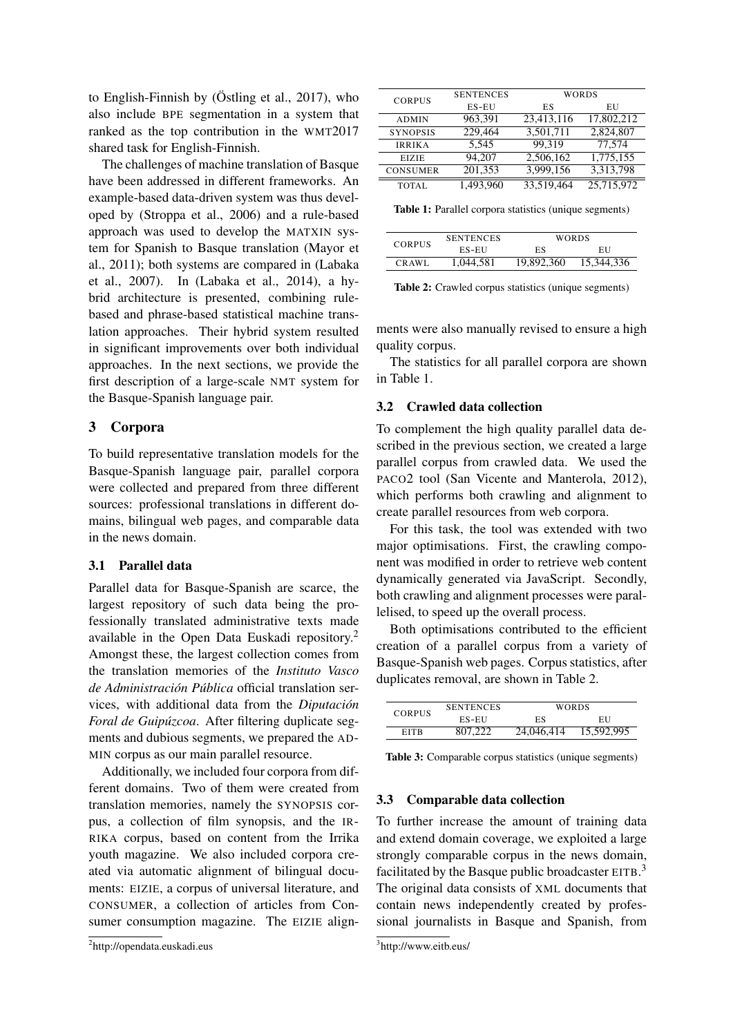to English-Finnish by (Östling et al.,  $2017$ ), who also include BPE segmentation in a system that ranked as the top contribution in the WMT2017 shared task for English-Finnish.

The challenges of machine translation of Basque have been addressed in different frameworks. An example-based data-driven system was thus developed by (Stroppa et al., 2006) and a rule-based approach was used to develop the MATXIN system for Spanish to Basque translation (Mayor et al., 2011); both systems are compared in (Labaka et al., 2007). In (Labaka et al., 2014), a hybrid architecture is presented, combining rulebased and phrase-based statistical machine translation approaches. Their hybrid system resulted in significant improvements over both individual approaches. In the next sections, we provide the first description of a large-scale NMT system for the Basque-Spanish language pair.

### 3 Corpora

To build representative translation models for the Basque-Spanish language pair, parallel corpora were collected and prepared from three different sources: professional translations in different domains, bilingual web pages, and comparable data in the news domain.

### 3.1 Parallel data

Parallel data for Basque-Spanish are scarce, the largest repository of such data being the professionally translated administrative texts made available in the Open Data Euskadi repository.<sup>2</sup> Amongst these, the largest collection comes from the translation memories of the *Instituto Vasco de Administracion P ´ ublica ´* official translation services, with additional data from the *Diputacion´ Foral de Guipúzcoa.* After filtering duplicate segments and dubious segments, we prepared the AD-MIN corpus as our main parallel resource.

Additionally, we included four corpora from different domains. Two of them were created from translation memories, namely the SYNOPSIS corpus, a collection of film synopsis, and the IR-RIKA corpus, based on content from the Irrika youth magazine. We also included corpora created via automatic alignment of bilingual documents: EIZIE, a corpus of universal literature, and CONSUMER, a collection of articles from Consumer consumption magazine. The EIZIE align-

| <b>CORPUS</b>   | <b>SENTENCES</b> |            | WORDS      |  |
|-----------------|------------------|------------|------------|--|
|                 | ES-EU            | ES         | EU         |  |
| <b>ADMIN</b>    | 963,391          | 23,413,116 | 17,802,212 |  |
| <b>SYNOPSIS</b> | 229,464          | 3,501,711  | 2,824,807  |  |
| <b>IRRIKA</b>   | 5.545            | 99.319     | 77.574     |  |
| <b>EIZIE</b>    | 94,207           | 2,506,162  | 1,775,155  |  |
| <b>CONSUMER</b> | 201,353          | 3,999,156  | 3,313,798  |  |
| <b>TOTAL</b>    | 1,493,960        | 33,519,464 | 25,715,972 |  |

Table 1: Parallel corpora statistics (unique segments)

| <b>CORPUS</b> | <b>SENTENCES</b> | <b>WORDS</b> |            |
|---------------|------------------|--------------|------------|
|               | $ES-EU$          | ES           | EU         |
| CRAWL         | 1,044,581        | 19,892,360   | 15,344,336 |

Table 2: Crawled corpus statistics (unique segments)

ments were also manually revised to ensure a high quality corpus.

The statistics for all parallel corpora are shown in Table 1.

#### 3.2 Crawled data collection

To complement the high quality parallel data described in the previous section, we created a large parallel corpus from crawled data. We used the PACO2 tool (San Vicente and Manterola, 2012), which performs both crawling and alignment to create parallel resources from web corpora.

For this task, the tool was extended with two major optimisations. First, the crawling component was modified in order to retrieve web content dynamically generated via JavaScript. Secondly, both crawling and alignment processes were parallelised, to speed up the overall process.

Both optimisations contributed to the efficient creation of a parallel corpus from a variety of Basque-Spanish web pages. Corpus statistics, after duplicates removal, are shown in Table 2.

|               | <b>SENTENCES</b> | <b>WORDS</b> |            |  |
|---------------|------------------|--------------|------------|--|
| <b>CORPUS</b> | ES-EU            | ES           | EU         |  |
| <b>EITR</b>   | 807.222          | 24,046,414   | 15,592,995 |  |

Table 3: Comparable corpus statistics (unique segments)

#### 3.3 Comparable data collection

To further increase the amount of training data and extend domain coverage, we exploited a large strongly comparable corpus in the news domain, facilitated by the Basque public broadcaster EITB.<sup>3</sup> The original data consists of XML documents that contain news independently created by professional journalists in Basque and Spanish, from

<sup>2</sup> http://opendata.euskadi.eus

<sup>3</sup> http://www.eitb.eus/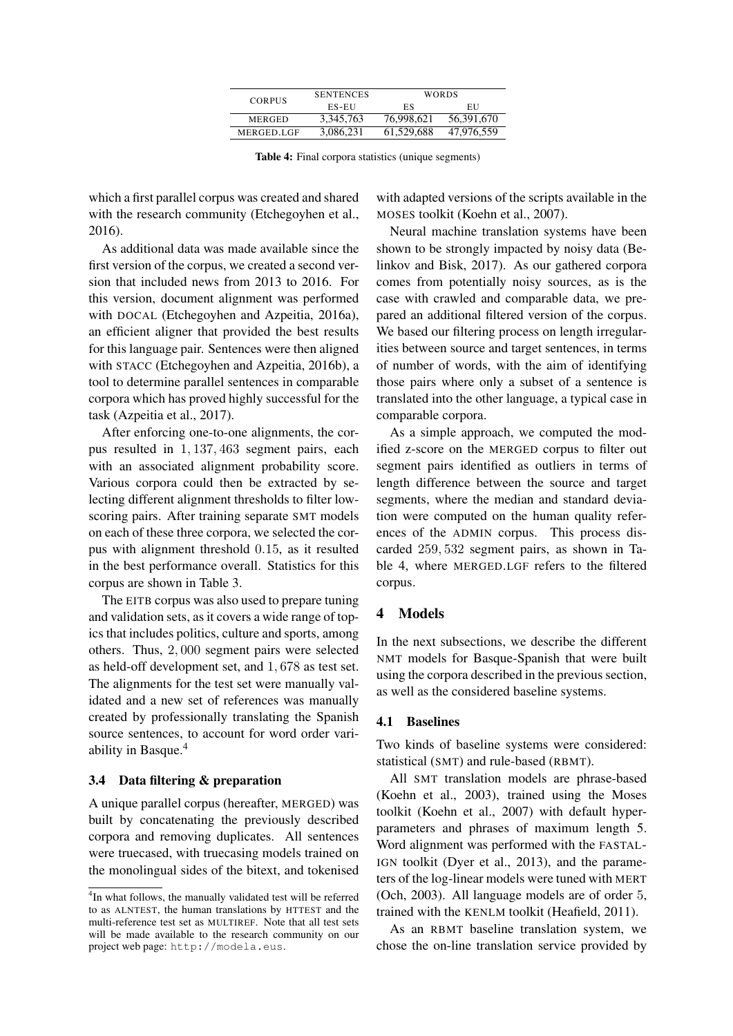| <b>CORPUS</b> | <b>SENTENCES</b> | <b>WORDS</b> |            |  |
|---------------|------------------|--------------|------------|--|
|               | ES-EU            | ES           | EU         |  |
| <b>MERGED</b> | 3,345,763        | 76,998,621   | 56,391,670 |  |
| MERGED.LGF    | 3,086,231        | 61.529.688   | 47,976,559 |  |

Table 4: Final corpora statistics (unique segments)

which a first parallel corpus was created and shared with the research community (Etchegoyhen et al., 2016).

As additional data was made available since the first version of the corpus, we created a second version that included news from 2013 to 2016. For this version, document alignment was performed with DOCAL (Etchegoyhen and Azpeitia, 2016a), an efficient aligner that provided the best results for this language pair. Sentences were then aligned with STACC (Etchegoyhen and Azpeitia, 2016b), a tool to determine parallel sentences in comparable corpora which has proved highly successful for the task (Azpeitia et al., 2017).

After enforcing one-to-one alignments, the corpus resulted in 1, 137, 463 segment pairs, each with an associated alignment probability score. Various corpora could then be extracted by selecting different alignment thresholds to filter lowscoring pairs. After training separate SMT models on each of these three corpora, we selected the corpus with alignment threshold 0.15, as it resulted in the best performance overall. Statistics for this corpus are shown in Table 3.

The EITB corpus was also used to prepare tuning and validation sets, as it covers a wide range of topics that includes politics, culture and sports, among others. Thus, 2, 000 segment pairs were selected as held-off development set, and 1, 678 as test set. The alignments for the test set were manually validated and a new set of references was manually created by professionally translating the Spanish source sentences, to account for word order variability in Basque.<sup>4</sup>

#### 3.4 Data filtering & preparation

A unique parallel corpus (hereafter, MERGED) was built by concatenating the previously described corpora and removing duplicates. All sentences were truecased, with truecasing models trained on the monolingual sides of the bitext, and tokenised

with adapted versions of the scripts available in the MOSES toolkit (Koehn et al., 2007).

Neural machine translation systems have been shown to be strongly impacted by noisy data (Belinkov and Bisk, 2017). As our gathered corpora comes from potentially noisy sources, as is the case with crawled and comparable data, we prepared an additional filtered version of the corpus. We based our filtering process on length irregularities between source and target sentences, in terms of number of words, with the aim of identifying those pairs where only a subset of a sentence is translated into the other language, a typical case in comparable corpora.

As a simple approach, we computed the modified z-score on the MERGED corpus to filter out segment pairs identified as outliers in terms of length difference between the source and target segments, where the median and standard deviation were computed on the human quality references of the ADMIN corpus. This process discarded 259, 532 segment pairs, as shown in Table 4, where MERGED.LGF refers to the filtered corpus.

### 4 Models

In the next subsections, we describe the different NMT models for Basque-Spanish that were built using the corpora described in the previous section, as well as the considered baseline systems.

#### 4.1 Baselines

Two kinds of baseline systems were considered: statistical (SMT) and rule-based (RBMT).

All SMT translation models are phrase-based (Koehn et al., 2003), trained using the Moses toolkit (Koehn et al., 2007) with default hyperparameters and phrases of maximum length 5. Word alignment was performed with the FASTAL-IGN toolkit (Dyer et al., 2013), and the parameters of the log-linear models were tuned with MERT (Och, 2003). All language models are of order 5, trained with the KENLM toolkit (Heafield, 2011).

As an RBMT baseline translation system, we chose the on-line translation service provided by

<sup>&</sup>lt;sup>4</sup>In what follows, the manually validated test will be referred to as ALNTEST, the human translations by HTTEST and the multi-reference test set as MULTIREF. Note that all test sets will be made available to the research community on our project web page: http://modela.eus.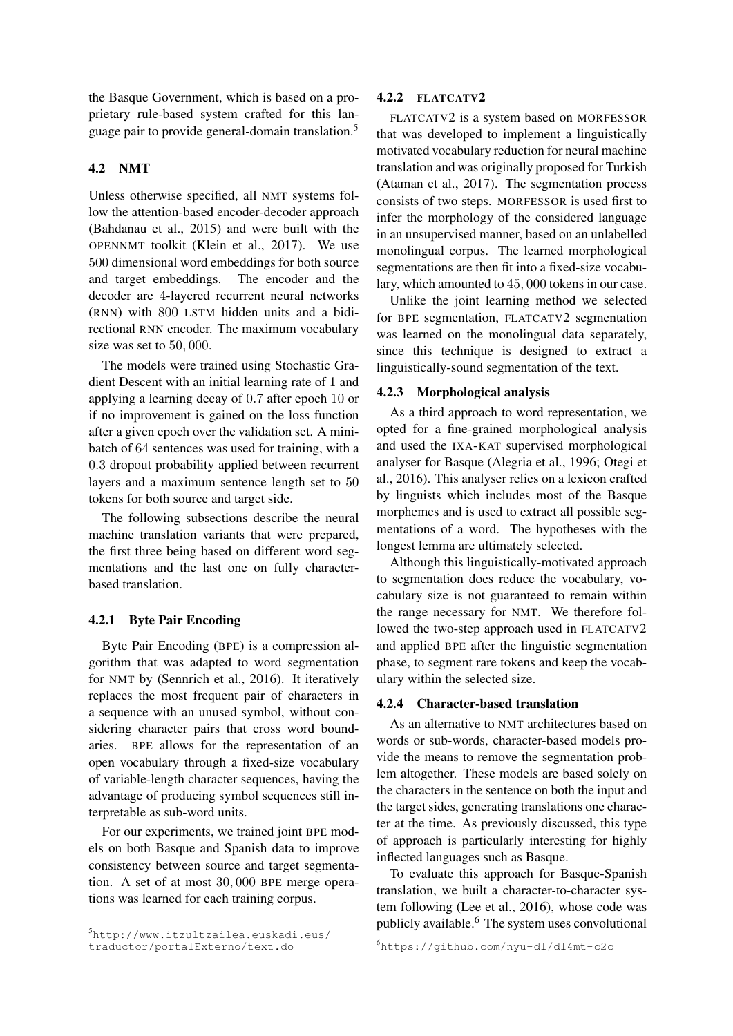the Basque Government, which is based on a proprietary rule-based system crafted for this language pair to provide general-domain translation.<sup>5</sup>

## 4.2 NMT

Unless otherwise specified, all NMT systems follow the attention-based encoder-decoder approach (Bahdanau et al., 2015) and were built with the OPENNMT toolkit (Klein et al., 2017). We use 500 dimensional word embeddings for both source and target embeddings. The encoder and the decoder are 4-layered recurrent neural networks (RNN) with 800 LSTM hidden units and a bidirectional RNN encoder. The maximum vocabulary size was set to 50, 000.

The models were trained using Stochastic Gradient Descent with an initial learning rate of 1 and applying a learning decay of 0.7 after epoch 10 or if no improvement is gained on the loss function after a given epoch over the validation set. A minibatch of 64 sentences was used for training, with a 0.3 dropout probability applied between recurrent layers and a maximum sentence length set to 50 tokens for both source and target side.

The following subsections describe the neural machine translation variants that were prepared, the first three being based on different word segmentations and the last one on fully characterbased translation.

## 4.2.1 Byte Pair Encoding

Byte Pair Encoding (BPE) is a compression algorithm that was adapted to word segmentation for NMT by (Sennrich et al., 2016). It iteratively replaces the most frequent pair of characters in a sequence with an unused symbol, without considering character pairs that cross word boundaries. BPE allows for the representation of an open vocabulary through a fixed-size vocabulary of variable-length character sequences, having the advantage of producing symbol sequences still interpretable as sub-word units.

For our experiments, we trained joint BPE models on both Basque and Spanish data to improve consistency between source and target segmentation. A set of at most 30, 000 BPE merge operations was learned for each training corpus.

## 4.2.2 FLATCATV2

FLATCATV2 is a system based on MORFESSOR that was developed to implement a linguistically motivated vocabulary reduction for neural machine translation and was originally proposed for Turkish (Ataman et al., 2017). The segmentation process consists of two steps. MORFESSOR is used first to infer the morphology of the considered language in an unsupervised manner, based on an unlabelled monolingual corpus. The learned morphological segmentations are then fit into a fixed-size vocabulary, which amounted to 45, 000 tokens in our case.

Unlike the joint learning method we selected for BPE segmentation, FLATCATV2 segmentation was learned on the monolingual data separately, since this technique is designed to extract a linguistically-sound segmentation of the text.

### 4.2.3 Morphological analysis

As a third approach to word representation, we opted for a fine-grained morphological analysis and used the IXA-KAT supervised morphological analyser for Basque (Alegria et al., 1996; Otegi et al., 2016). This analyser relies on a lexicon crafted by linguists which includes most of the Basque morphemes and is used to extract all possible segmentations of a word. The hypotheses with the longest lemma are ultimately selected.

Although this linguistically-motivated approach to segmentation does reduce the vocabulary, vocabulary size is not guaranteed to remain within the range necessary for NMT. We therefore followed the two-step approach used in FLATCATV2 and applied BPE after the linguistic segmentation phase, to segment rare tokens and keep the vocabulary within the selected size.

### 4.2.4 Character-based translation

As an alternative to NMT architectures based on words or sub-words, character-based models provide the means to remove the segmentation problem altogether. These models are based solely on the characters in the sentence on both the input and the target sides, generating translations one character at the time. As previously discussed, this type of approach is particularly interesting for highly inflected languages such as Basque.

To evaluate this approach for Basque-Spanish translation, we built a character-to-character system following (Lee et al., 2016), whose code was publicly available.<sup>6</sup> The system uses convolutional

<sup>5</sup>http://www.itzultzailea.euskadi.eus/ traductor/portalExterno/text.do

<sup>6</sup>https://github.com/nyu-dl/dl4mt-c2c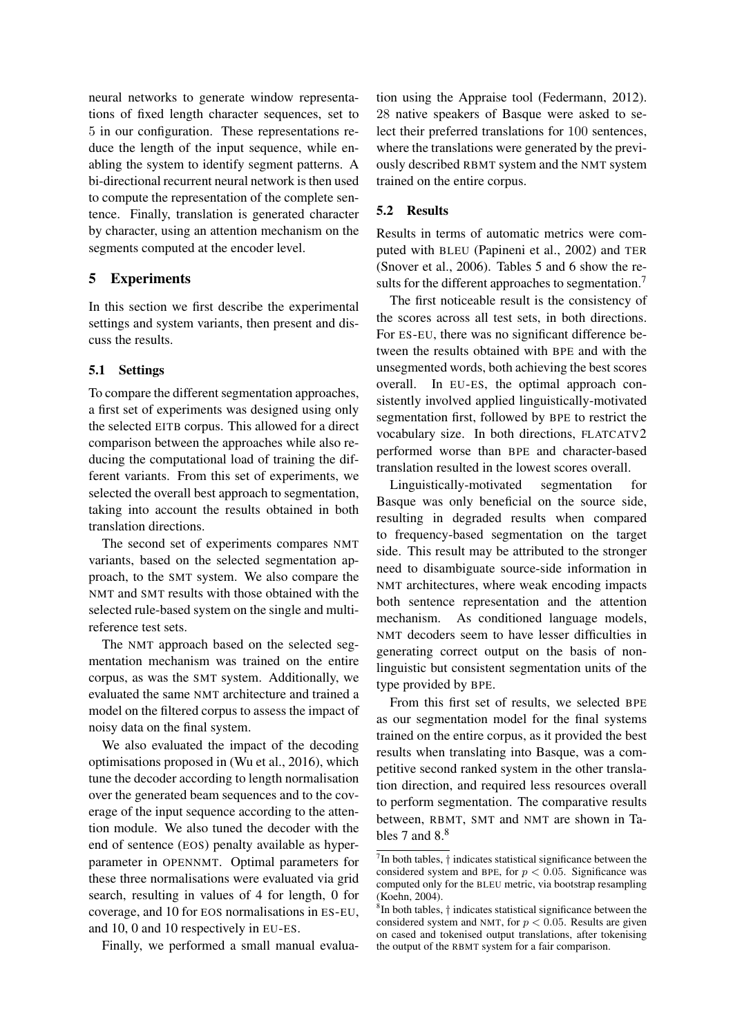neural networks to generate window representations of fixed length character sequences, set to 5 in our configuration. These representations reduce the length of the input sequence, while enabling the system to identify segment patterns. A bi-directional recurrent neural network is then used to compute the representation of the complete sentence. Finally, translation is generated character by character, using an attention mechanism on the segments computed at the encoder level.

## 5 Experiments

In this section we first describe the experimental settings and system variants, then present and discuss the results.

## 5.1 Settings

To compare the different segmentation approaches, a first set of experiments was designed using only the selected EITB corpus. This allowed for a direct comparison between the approaches while also reducing the computational load of training the different variants. From this set of experiments, we selected the overall best approach to segmentation, taking into account the results obtained in both translation directions.

The second set of experiments compares NMT variants, based on the selected segmentation approach, to the SMT system. We also compare the NMT and SMT results with those obtained with the selected rule-based system on the single and multireference test sets.

The NMT approach based on the selected segmentation mechanism was trained on the entire corpus, as was the SMT system. Additionally, we evaluated the same NMT architecture and trained a model on the filtered corpus to assess the impact of noisy data on the final system.

We also evaluated the impact of the decoding optimisations proposed in (Wu et al., 2016), which tune the decoder according to length normalisation over the generated beam sequences and to the coverage of the input sequence according to the attention module. We also tuned the decoder with the end of sentence (EOS) penalty available as hyperparameter in OPENNMT. Optimal parameters for these three normalisations were evaluated via grid search, resulting in values of 4 for length, 0 for coverage, and 10 for EOS normalisations in ES-EU, and 10, 0 and 10 respectively in EU-ES.

Finally, we performed a small manual evalua-

tion using the Appraise tool (Federmann, 2012). 28 native speakers of Basque were asked to select their preferred translations for 100 sentences, where the translations were generated by the previously described RBMT system and the NMT system trained on the entire corpus.

## 5.2 Results

Results in terms of automatic metrics were computed with BLEU (Papineni et al., 2002) and TER (Snover et al., 2006). Tables 5 and 6 show the results for the different approaches to segmentation.<sup>7</sup>

The first noticeable result is the consistency of the scores across all test sets, in both directions. For ES-EU, there was no significant difference between the results obtained with BPE and with the unsegmented words, both achieving the best scores overall. In EU-ES, the optimal approach consistently involved applied linguistically-motivated segmentation first, followed by BPE to restrict the vocabulary size. In both directions, FLATCATV2 performed worse than BPE and character-based translation resulted in the lowest scores overall.

Linguistically-motivated segmentation for Basque was only beneficial on the source side, resulting in degraded results when compared to frequency-based segmentation on the target side. This result may be attributed to the stronger need to disambiguate source-side information in NMT architectures, where weak encoding impacts both sentence representation and the attention mechanism. As conditioned language models, NMT decoders seem to have lesser difficulties in generating correct output on the basis of nonlinguistic but consistent segmentation units of the type provided by BPE.

From this first set of results, we selected BPE as our segmentation model for the final systems trained on the entire corpus, as it provided the best results when translating into Basque, was a competitive second ranked system in the other translation direction, and required less resources overall to perform segmentation. The comparative results between, RBMT, SMT and NMT are shown in Tables 7 and  $8<sup>8</sup>$ 

 $7$ In both tables,  $\dagger$  indicates statistical significance between the considered system and BPE, for  $p < 0.05$ . Significance was computed only for the BLEU metric, via bootstrap resampling (Koehn, 2004).

<sup>8</sup> In both tables, † indicates statistical significance between the considered system and NMT, for  $p < 0.05$ . Results are given on cased and tokenised output translations, after tokenising the output of the RBMT system for a fair comparison.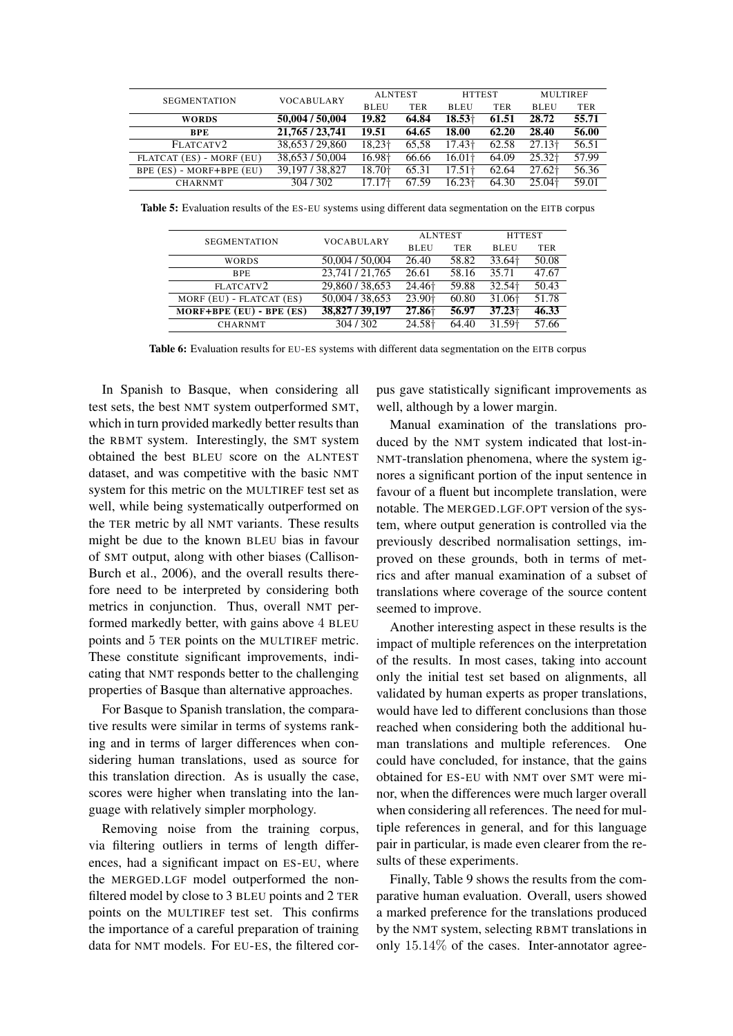| <b>SEGMENTATION</b>          | <b>VOCABULARY</b> |                    | <b>MULTIREF</b><br><b>ALNTEST</b><br><b>HTTEST</b> |                    |            |                    |            |
|------------------------------|-------------------|--------------------|----------------------------------------------------|--------------------|------------|--------------------|------------|
|                              |                   | <b>BLEU</b>        | <b>TER</b>                                         | <b>BLEU</b>        | <b>TER</b> | <b>BLEU</b>        | <b>TER</b> |
| <b>WORDS</b>                 | 50,004 / 50,004   | 19.82              | 64.84                                              | $18.53+$           | 61.51      | 28.72              | 55.71      |
| <b>BPE</b>                   | 21,765/23,741     | 19.51              | 64.65                                              | 18.00              | 62.20      | 28.40              | 56.00      |
| FLATCATV2                    | 38,653 / 29,860   | 18,23 <sup>+</sup> | 65.58                                              | 17.43 <sup>+</sup> | 62.58      | 27.13 <sup>†</sup> | 56.51      |
| FLATCAT (ES) - MORF (EU)     | 38,653 / 50,004   | 16.98 <sup>+</sup> | 66.66                                              | $16.01+$           | 64.09      | $25.32\dagger$     | 57.99      |
| $BPE (ES) - MORF + BPE (EU)$ | 39, 197 / 38, 827 | 18.70 <sup>+</sup> | 65.31                                              | 17.51 <sup>†</sup> | 62.64      | 27.62 <sup>+</sup> | 56.36      |
| <b>CHARNMT</b>               | 304/302           | 17.17 <sup>†</sup> | 67.59                                              | 16.23 <sup>†</sup> | 64.30      | 25.04†             | 59.01      |

Table 5: Evaluation results of the ES-EU systems using different data segmentation on the EITB corpus

| <b>SEGMENTATION</b>          | <b>VOCABULARY</b> | <b>ALNTEST</b>     |       | <b>HTTEST</b>      |            |
|------------------------------|-------------------|--------------------|-------|--------------------|------------|
|                              |                   | <b>BLEU</b>        | TER   | <b>BLEU</b>        | <b>TER</b> |
| WORDS                        | 50,004 / 50,004   | 26.40              | 58.82 | 33.64†             | 50.08      |
| <b>BPE</b>                   | 23,741 / 21,765   | 26.61              | 58.16 | 35.71              | 47.67      |
| FLATCATV2                    | 29,860/38,653     | 24.46 <sup>+</sup> | 59.88 | 32.54 <sup>+</sup> | 50.43      |
| MORF (EU) - FLATCAT (ES)     | 50,004 / 38,653   | 23.90 <sup>+</sup> | 60.80 | 31.06 <sup>+</sup> | 51.78      |
| $MORF + BPE$ (EU) - BPE (ES) | 38,827 / 39,197   | 27.86              | 56.97 | $37.23+$           | 46.33      |
| <b>CHARNMT</b>               | 304/302           | 24.58 <sup>+</sup> | 64.40 | 31.59 <sup>+</sup> | 57.66      |

Table 6: Evaluation results for EU-ES systems with different data segmentation on the EITB corpus

In Spanish to Basque, when considering all test sets, the best NMT system outperformed SMT, which in turn provided markedly better results than the RBMT system. Interestingly, the SMT system obtained the best BLEU score on the ALNTEST dataset, and was competitive with the basic NMT system for this metric on the MULTIREF test set as well, while being systematically outperformed on the TER metric by all NMT variants. These results might be due to the known BLEU bias in favour of SMT output, along with other biases (Callison-Burch et al., 2006), and the overall results therefore need to be interpreted by considering both metrics in conjunction. Thus, overall NMT performed markedly better, with gains above 4 BLEU points and 5 TER points on the MULTIREF metric. These constitute significant improvements, indicating that NMT responds better to the challenging properties of Basque than alternative approaches.

For Basque to Spanish translation, the comparative results were similar in terms of systems ranking and in terms of larger differences when considering human translations, used as source for this translation direction. As is usually the case, scores were higher when translating into the language with relatively simpler morphology.

Removing noise from the training corpus, via filtering outliers in terms of length differences, had a significant impact on ES-EU, where the MERGED.LGF model outperformed the nonfiltered model by close to 3 BLEU points and 2 TER points on the MULTIREF test set. This confirms the importance of a careful preparation of training data for NMT models. For EU-ES, the filtered corpus gave statistically significant improvements as well, although by a lower margin.

Manual examination of the translations produced by the NMT system indicated that lost-in-NMT-translation phenomena, where the system ignores a significant portion of the input sentence in favour of a fluent but incomplete translation, were notable. The MERGED.LGF.OPT version of the system, where output generation is controlled via the previously described normalisation settings, improved on these grounds, both in terms of metrics and after manual examination of a subset of translations where coverage of the source content seemed to improve.

Another interesting aspect in these results is the impact of multiple references on the interpretation of the results. In most cases, taking into account only the initial test set based on alignments, all validated by human experts as proper translations, would have led to different conclusions than those reached when considering both the additional human translations and multiple references. One could have concluded, for instance, that the gains obtained for ES-EU with NMT over SMT were minor, when the differences were much larger overall when considering all references. The need for multiple references in general, and for this language pair in particular, is made even clearer from the results of these experiments.

Finally, Table 9 shows the results from the comparative human evaluation. Overall, users showed a marked preference for the translations produced by the NMT system, selecting RBMT translations in only 15.14% of the cases. Inter-annotator agree-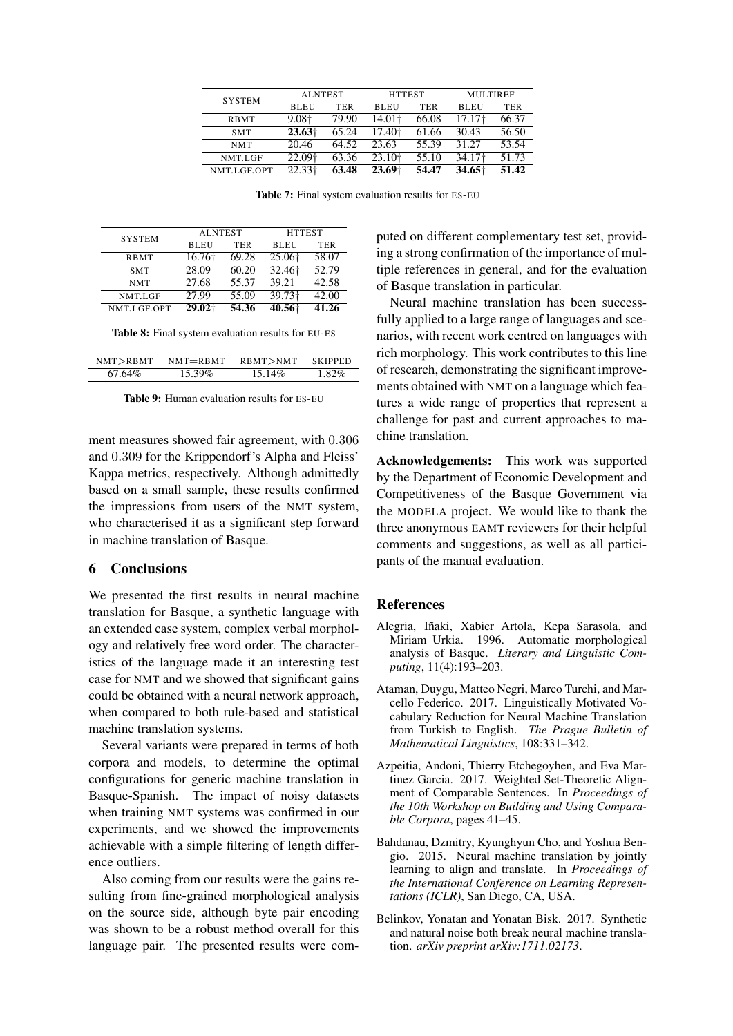| <b>SYSTEM</b> | <b>ALNTEST</b> |            | <b>HTTEST</b>      |            | <b>MULTIREF</b>    |       |
|---------------|----------------|------------|--------------------|------------|--------------------|-------|
|               | <b>BLEU</b>    | <b>TER</b> | <b>BLEU</b>        | <b>TER</b> | <b>BLEU</b>        | TER   |
| <b>RBMT</b>   | 9.08†          | 79.90      | 14.01†             | 66.08      | 17.17†             | 66.37 |
| <b>SMT</b>    | $23.63\dagger$ | 65.24      | 17.40†             | 61.66      | 30.43              | 56.50 |
| <b>NMT</b>    | 20.46          | 64.52      | 23.63              | 55.39      | 31.27              | 53.54 |
| NMT.LGF       | 22.09+         | 63.36      | 23.10 <sup>+</sup> | 55.10      | 34.17 <sup>+</sup> | 51.73 |
| NMT.LGF.OPT   | 22.33†         | 63.48      | $23.69+$           | 54.47      | $34.65+$           | 51.42 |

Table 7: Final system evaluation results for ES-EU

| <b>SYSTEM</b> | <b>ALNTEST</b> |            | <b>HTTEST</b>      |            |  |
|---------------|----------------|------------|--------------------|------------|--|
|               | <b>BLEU</b>    | <b>TER</b> | <b>BLEU</b>        | <b>TER</b> |  |
| <b>RBMT</b>   | 16.76†         | 69.28      | 25.06              | 58.07      |  |
| <b>SMT</b>    | 28.09          | 60.20      | 32.46 <sup>+</sup> | 52.79      |  |
| <b>NMT</b>    | 27.68          | 55.37      | 39.21              | 42.58      |  |
| NMT.LGF       | 27.99          | 55.09      | 39.73 <sup>+</sup> | 42.00      |  |
| NMT.LGF.OPT   | 29.02+         | 54.36      | 40.56+             | 41.26      |  |

|  |  |  | Table 8: Final system evaluation results for EU-ES |  |  |  |
|--|--|--|----------------------------------------------------|--|--|--|
|--|--|--|----------------------------------------------------|--|--|--|

| NMT > RBMT | $NMT = RBMT$ | RBMT>NM | <b>SKIPPED</b> |
|------------|--------------|---------|----------------|
| $6764\%$   | 15.39%       | 15.14%  | 182%           |

Table 9: Human evaluation results for ES-EU

ment measures showed fair agreement, with 0.306 and 0.309 for the Krippendorf's Alpha and Fleiss' Kappa metrics, respectively. Although admittedly based on a small sample, these results confirmed the impressions from users of the NMT system, who characterised it as a significant step forward in machine translation of Basque.

## 6 Conclusions

We presented the first results in neural machine translation for Basque, a synthetic language with an extended case system, complex verbal morphology and relatively free word order. The characteristics of the language made it an interesting test case for NMT and we showed that significant gains could be obtained with a neural network approach, when compared to both rule-based and statistical machine translation systems.

Several variants were prepared in terms of both corpora and models, to determine the optimal configurations for generic machine translation in Basque-Spanish. The impact of noisy datasets when training NMT systems was confirmed in our experiments, and we showed the improvements achievable with a simple filtering of length difference outliers.

Also coming from our results were the gains resulting from fine-grained morphological analysis on the source side, although byte pair encoding was shown to be a robust method overall for this language pair. The presented results were computed on different complementary test set, providing a strong confirmation of the importance of multiple references in general, and for the evaluation of Basque translation in particular.

Neural machine translation has been successfully applied to a large range of languages and scenarios, with recent work centred on languages with rich morphology. This work contributes to this line of research, demonstrating the significant improvements obtained with NMT on a language which features a wide range of properties that represent a challenge for past and current approaches to machine translation.

Acknowledgements: This work was supported by the Department of Economic Development and Competitiveness of the Basque Government via the MODELA project. We would like to thank the three anonymous EAMT reviewers for their helpful comments and suggestions, as well as all participants of the manual evaluation.

#### References

- Alegria, Iñaki, Xabier Artola, Kepa Sarasola, and Miriam Urkia. 1996. Automatic morphological analysis of Basque. *Literary and Linguistic Computing*, 11(4):193–203.
- Ataman, Duygu, Matteo Negri, Marco Turchi, and Marcello Federico. 2017. Linguistically Motivated Vocabulary Reduction for Neural Machine Translation from Turkish to English. *The Prague Bulletin of Mathematical Linguistics*, 108:331–342.
- Azpeitia, Andoni, Thierry Etchegoyhen, and Eva Martinez Garcia. 2017. Weighted Set-Theoretic Alignment of Comparable Sentences. In *Proceedings of the 10th Workshop on Building and Using Comparable Corpora*, pages 41–45.
- Bahdanau, Dzmitry, Kyunghyun Cho, and Yoshua Bengio. 2015. Neural machine translation by jointly learning to align and translate. In *Proceedings of the International Conference on Learning Representations (ICLR)*, San Diego, CA, USA.
- Belinkov, Yonatan and Yonatan Bisk. 2017. Synthetic and natural noise both break neural machine translation. *arXiv preprint arXiv:1711.02173*.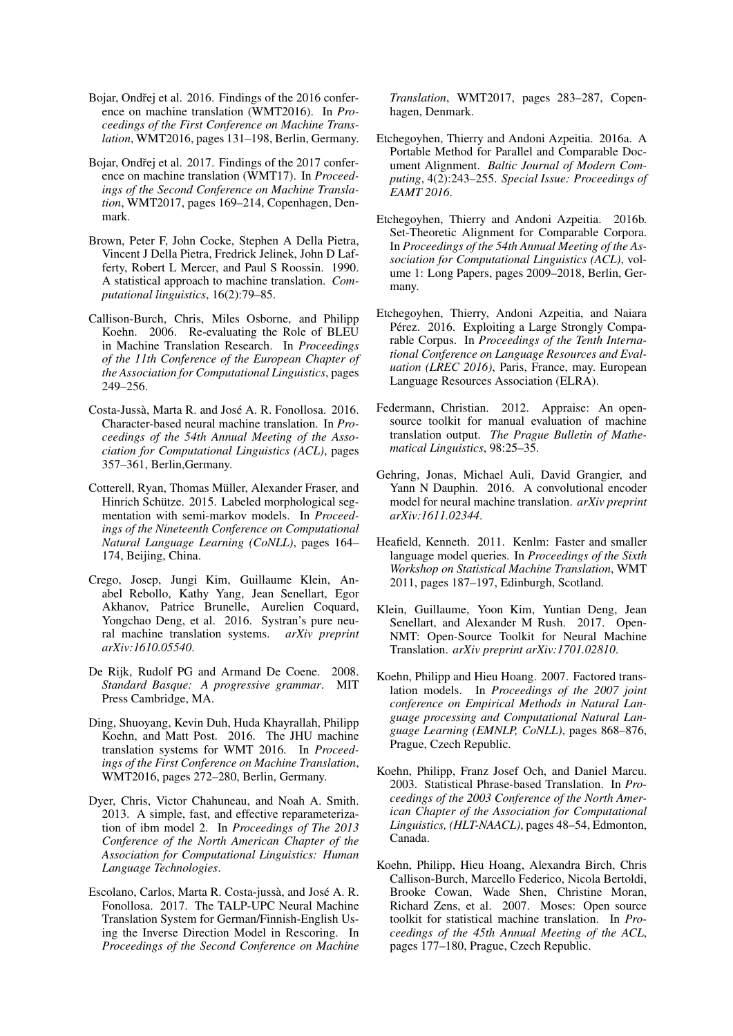- Bojar, Ondřej et al. 2016. Findings of the 2016 conference on machine translation (WMT2016). In *Proceedings of the First Conference on Machine Translation*, WMT2016, pages 131–198, Berlin, Germany.
- Bojar, Ondřej et al. 2017. Findings of the 2017 conference on machine translation (WMT17). In *Proceedings of the Second Conference on Machine Translation*, WMT2017, pages 169–214, Copenhagen, Denmark.
- Brown, Peter F, John Cocke, Stephen A Della Pietra, Vincent J Della Pietra, Fredrick Jelinek, John D Lafferty, Robert L Mercer, and Paul S Roossin. 1990. A statistical approach to machine translation. *Computational linguistics*, 16(2):79–85.
- Callison-Burch, Chris, Miles Osborne, and Philipp Koehn. 2006. Re-evaluating the Role of BLEU in Machine Translation Research. In *Proceedings of the 11th Conference of the European Chapter of the Association for Computational Linguistics*, pages 249–256.
- Costa-Jussà, Marta R. and José A. R. Fonollosa. 2016. Character-based neural machine translation. In *Proceedings of the 54th Annual Meeting of the Association for Computational Linguistics (ACL)*, pages 357–361, Berlin,Germany.
- Cotterell, Ryan, Thomas Müller, Alexander Fraser, and Hinrich Schütze. 2015. Labeled morphological segmentation with semi-markov models. In *Proceedings of the Nineteenth Conference on Computational Natural Language Learning (CoNLL)*, pages 164– 174, Beijing, China.
- Crego, Josep, Jungi Kim, Guillaume Klein, Anabel Rebollo, Kathy Yang, Jean Senellart, Egor Akhanov, Patrice Brunelle, Aurelien Coquard, Yongchao Deng, et al. 2016. Systran's pure neural machine translation systems. *arXiv preprint arXiv:1610.05540*.
- De Rijk, Rudolf PG and Armand De Coene. 2008. *Standard Basque: A progressive grammar*. MIT Press Cambridge, MA.
- Ding, Shuoyang, Kevin Duh, Huda Khayrallah, Philipp Koehn, and Matt Post. 2016. The JHU machine translation systems for WMT 2016. In *Proceedings of the First Conference on Machine Translation*, WMT2016, pages 272–280, Berlin, Germany.
- Dyer, Chris, Victor Chahuneau, and Noah A. Smith. 2013. A simple, fast, and effective reparameterization of ibm model 2. In *Proceedings of The 2013 Conference of the North American Chapter of the Association for Computational Linguistics: Human Language Technologies*.
- Escolano, Carlos, Marta R. Costa-jussà, and José A. R. Fonollosa. 2017. The TALP-UPC Neural Machine Translation System for German/Finnish-English Using the Inverse Direction Model in Rescoring. In *Proceedings of the Second Conference on Machine*

*Translation*, WMT2017, pages 283–287, Copenhagen, Denmark.

- Etchegoyhen, Thierry and Andoni Azpeitia. 2016a. A Portable Method for Parallel and Comparable Document Alignment. *Baltic Journal of Modern Computing*, 4(2):243–255. *Special Issue: Proceedings of EAMT 2016*.
- Etchegoyhen, Thierry and Andoni Azpeitia. 2016b. Set-Theoretic Alignment for Comparable Corpora. In *Proceedings of the 54th Annual Meeting of the Association for Computational Linguistics (ACL)*, volume 1: Long Papers, pages 2009–2018, Berlin, Germany.
- Etchegoyhen, Thierry, Andoni Azpeitia, and Naiara Pérez. 2016. Exploiting a Large Strongly Comparable Corpus. In *Proceedings of the Tenth International Conference on Language Resources and Evaluation (LREC 2016)*, Paris, France, may. European Language Resources Association (ELRA).
- Federmann, Christian. 2012. Appraise: An opensource toolkit for manual evaluation of machine translation output. *The Prague Bulletin of Mathematical Linguistics*, 98:25–35.
- Gehring, Jonas, Michael Auli, David Grangier, and Yann N Dauphin. 2016. A convolutional encoder model for neural machine translation. *arXiv preprint arXiv:1611.02344*.
- Heafield, Kenneth. 2011. Kenlm: Faster and smaller language model queries. In *Proceedings of the Sixth Workshop on Statistical Machine Translation*, WMT 2011, pages 187–197, Edinburgh, Scotland.
- Klein, Guillaume, Yoon Kim, Yuntian Deng, Jean Senellart, and Alexander M Rush. 2017. Open-NMT: Open-Source Toolkit for Neural Machine Translation. *arXiv preprint arXiv:1701.02810*.
- Koehn, Philipp and Hieu Hoang. 2007. Factored translation models. In *Proceedings of the 2007 joint conference on Empirical Methods in Natural Language processing and Computational Natural Language Learning (EMNLP, CoNLL)*, pages 868–876, Prague, Czech Republic.
- Koehn, Philipp, Franz Josef Och, and Daniel Marcu. 2003. Statistical Phrase-based Translation. In *Proceedings of the 2003 Conference of the North American Chapter of the Association for Computational Linguistics, (HLT-NAACL)*, pages 48–54, Edmonton, Canada.
- Koehn, Philipp, Hieu Hoang, Alexandra Birch, Chris Callison-Burch, Marcello Federico, Nicola Bertoldi, Brooke Cowan, Wade Shen, Christine Moran, Richard Zens, et al. 2007. Moses: Open source toolkit for statistical machine translation. In *Proceedings of the 45th Annual Meeting of the ACL*, pages 177–180, Prague, Czech Republic.